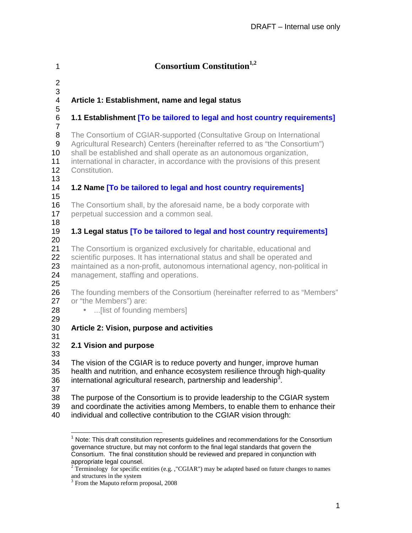| 1                              | <b>Consortium Constitution</b> <sup>1,2</sup>                                                                                                                                                                                                                                                                                     |
|--------------------------------|-----------------------------------------------------------------------------------------------------------------------------------------------------------------------------------------------------------------------------------------------------------------------------------------------------------------------------------|
| $\overline{2}$<br>3            |                                                                                                                                                                                                                                                                                                                                   |
| 4<br>5                         | Article 1: Establishment, name and legal status                                                                                                                                                                                                                                                                                   |
| 6<br>$\overline{7}$            | 1.1 Establishment [To be tailored to legal and host country requirements]                                                                                                                                                                                                                                                         |
| 8<br>9<br>10<br>11<br>12<br>13 | The Consortium of CGIAR-supported (Consultative Group on International<br>Agricultural Research) Centers (hereinafter referred to as "the Consortium")<br>shall be established and shall operate as an autonomous organization,<br>international in character, in accordance with the provisions of this present<br>Constitution. |
| 14<br>15                       | 1.2 Name [To be tailored to legal and host country requirements]                                                                                                                                                                                                                                                                  |
| 16<br>17<br>18                 | The Consortium shall, by the aforesaid name, be a body corporate with<br>perpetual succession and a common seal.                                                                                                                                                                                                                  |
| 19<br>20                       | 1.3 Legal status [To be tailored to legal and host country requirements]                                                                                                                                                                                                                                                          |
| 21<br>22<br>23<br>24           | The Consortium is organized exclusively for charitable, educational and<br>scientific purposes. It has international status and shall be operated and<br>maintained as a non-profit, autonomous international agency, non-political in<br>management, staffing and operations.                                                    |
| 25<br>26<br>27<br>28           | The founding members of the Consortium (hereinafter referred to as "Members"<br>or "the Members") are:<br>[list of founding members]<br>$\bullet$                                                                                                                                                                                 |
| 29<br>30                       | Article 2: Vision, purpose and activities                                                                                                                                                                                                                                                                                         |
| 31<br>32<br>33                 | 2.1 Vision and purpose                                                                                                                                                                                                                                                                                                            |
| 34<br>35<br>36                 | The vision of the CGIAR is to reduce poverty and hunger, improve human<br>health and nutrition, and enhance ecosystem resilience through high-quality<br>international agricultural research, partnership and leadership <sup>3</sup> .                                                                                           |
| 37<br>38<br>39<br>40           | The purpose of the Consortium is to provide leadership to the CGIAR system<br>and coordinate the activities among Members, to enable them to enhance their<br>individual and collective contribution to the CGIAR vision through:                                                                                                 |

 1 Note: This draft constitution represents guidelines and recommendations for the Consortium governance structure, but may not conform to the final legal standards that govern the Consortium. The final constitution should be reviewed and prepared in conjunction with appropriate legal counsel.<br><sup>2</sup> Terminology for specific entities (e.g. ,"CGIAR") may be adapted based on future changes to names

and structures in the system

<sup>&</sup>lt;sup>3</sup> From the Maputo reform proposal, 2008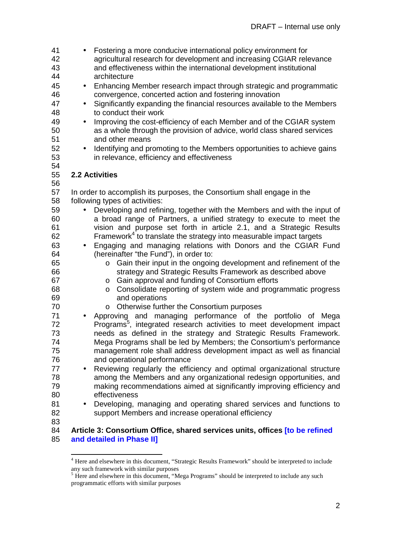41 • Fostering a more conducive international policy environment for 42 agricultural research for development and increasing CGIAR relevance 43 and effectiveness within the international development institutional 44 architecture 45 • Enhancing Member research impact through strategic and programmatic 46 convergence, concerted action and fostering innovation 47 • Significantly expanding the financial resources available to the Members 48 to conduct their work 49 • Improving the cost-efficiency of each Member and of the CGIAR system 50 as a whole through the provision of advice, world class shared services 51 and other means 52 • Identifying and promoting to the Members opportunities to achieve gains 53 in relevance, efficiency and effectiveness 54 55 **2.2 Activities**  56 57 In order to accomplish its purposes, the Consortium shall engage in the 58 following types of activities: 59 • Developing and refining, together with the Members and with the input of 60 a broad range of Partners, a unified strategy to execute to meet the 61 vision and purpose set forth in article 2.1, and a Strategic Results 62 **Framework**<sup>4</sup> to translate the strategy into measurable impact targets 63 • Engaging and managing relations with Donors and the CGIAR Fund 64 (hereinafter "the Fund"), in order to: 65 o Gain their input in the ongoing development and refinement of the 66 strategy and Strategic Results Framework as described above 67 o Gain approval and funding of Consortium efforts 68 o Consolidate reporting of system wide and programmatic progress 69 and operations 70 o Otherwise further the Consortium purposes 71 • Approving and managing performance of the portfolio of Mega 72 Programs<sup>5</sup>, integrated research activities to meet development impact 73 needs as defined in the strategy and Strategic Results Framework. 74 Mega Programs shall be led by Members; the Consortium's performance 75 management role shall address development impact as well as financial 76 and operational performance **17** • Reviewing regularly the efficiency and optimal organizational structure<br>78 **homomory among the Members and any organizational redesign opportunities, and** among the Members and any organizational redesign opportunities, and 79 making recommendations aimed at significantly improving efficiency and 80 effectiveness 81 • Developing, managing and operating shared services and functions to 82 support Members and increase operational efficiency 83

#### 84 **Article 3: Consortium Office, shared services units, offices [to be refined**  85 **and detailed in Phase II]**

 $\overline{a}$ 

<sup>&</sup>lt;sup>4</sup> Here and elsewhere in this document, "Strategic Results Framework" should be interpreted to include any such framework with similar purposes

<sup>&</sup>lt;sup>5</sup> Here and elsewhere in this document, "Mega Programs" should be interpreted to include any such programmatic efforts with similar purposes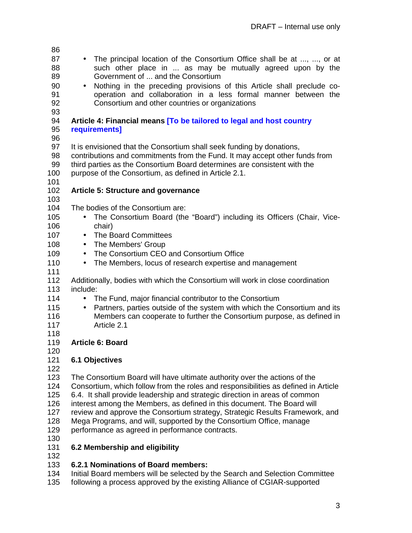| 86         |                                                                                                                                                         |
|------------|---------------------------------------------------------------------------------------------------------------------------------------------------------|
| 87         | • The principal location of the Consortium Office shall be at , , or at                                                                                 |
| 88         | such other place in  as may be mutually agreed upon by the                                                                                              |
| 89         | Government of  and the Consortium                                                                                                                       |
| 90         | Nothing in the preceding provisions of this Article shall preclude co-<br>$\bullet$                                                                     |
| 91         | operation and collaboration in a less formal manner between the                                                                                         |
| 92         | Consortium and other countries or organizations                                                                                                         |
| 93         |                                                                                                                                                         |
| 94         | Article 4: Financial means [To be tailored to legal and host country                                                                                    |
| 95         | requirements]                                                                                                                                           |
| 96         |                                                                                                                                                         |
| 97         | It is envisioned that the Consortium shall seek funding by donations,                                                                                   |
| 98         | contributions and commitments from the Fund. It may accept other funds from                                                                             |
| 99         | third parties as the Consortium Board determines are consistent with the                                                                                |
| 100        | purpose of the Consortium, as defined in Article 2.1.                                                                                                   |
| 101        |                                                                                                                                                         |
| 102        | <b>Article 5: Structure and governance</b>                                                                                                              |
| 103        |                                                                                                                                                         |
| 104        | The bodies of the Consortium are:                                                                                                                       |
| 105        | The Consortium Board (the "Board") including its Officers (Chair, Vice-                                                                                 |
| 106        | chair)                                                                                                                                                  |
| 107        | • The Board Committees                                                                                                                                  |
| 108        | • The Members' Group                                                                                                                                    |
| 109        | • The Consortium CEO and Consortium Office                                                                                                              |
| 110        | The Members, locus of research expertise and management<br>$\bullet$                                                                                    |
| 111        |                                                                                                                                                         |
| 112        | Additionally, bodies with which the Consortium will work in close coordination                                                                          |
| 113        | include:                                                                                                                                                |
| 114        | The Fund, major financial contributor to the Consortium<br>$\bullet$                                                                                    |
| 115        | Partners, parties outside of the system with which the Consortium and its<br>$\bullet$                                                                  |
| 116        | Members can cooperate to further the Consortium purpose, as defined in                                                                                  |
| 117        | Article 2.1                                                                                                                                             |
| 118        |                                                                                                                                                         |
| 119        | <b>Article 6: Board</b>                                                                                                                                 |
| 120        |                                                                                                                                                         |
| 121        | <b>6.1 Objectives</b>                                                                                                                                   |
| 122        |                                                                                                                                                         |
| 123        | The Consortium Board will have ultimate authority over the actions of the                                                                               |
| 124        | Consortium, which follow from the roles and responsibilities as defined in Article                                                                      |
| 125        | 6.4. It shall provide leadership and strategic direction in areas of common                                                                             |
| 126<br>127 | interest among the Members, as defined in this document. The Board will<br>review and approve the Consortium strategy, Strategic Results Framework, and |
| 128        | Mega Programs, and will, supported by the Consortium Office, manage                                                                                     |
| 129        | performance as agreed in performance contracts.                                                                                                         |
| 130        |                                                                                                                                                         |
| 131        | 6.2 Membership and eligibility                                                                                                                          |
| 132        |                                                                                                                                                         |
|            |                                                                                                                                                         |

- 133 **6.2.1 Nominations of Board members:**
- 134 Initial Board members will be selected by the Search and Selection Committee
- 135 following a process approved by the existing Alliance of CGIAR-supported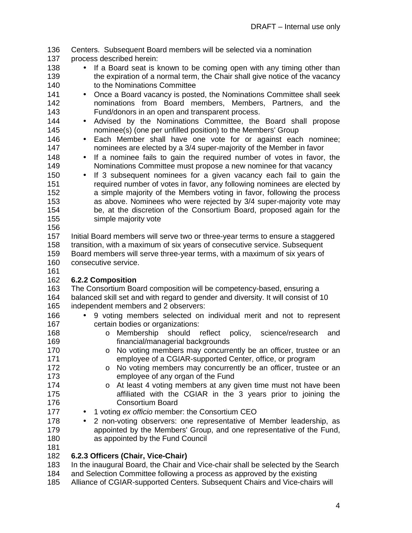136 Centers. Subsequent Board members will be selected via a nomination

- 137 process described herein:
- 138 If a Board seat is known to be coming open with any timing other than 139 the expiration of a normal term, the Chair shall give notice of the vacancy 140 to the Nominations Committee
- 141 Once a Board vacancy is posted, the Nominations Committee shall seek 142 nominations from Board members, Members, Partners, and the 143 Fund/donors in an open and transparent process.
- 144 Advised by the Nominations Committee, the Board shall propose 145 nominee(s) (one per unfilled position) to the Members' Group
- 
- 146 Each Member shall have one vote for or against each nominee; 147 nominees are elected by a 3/4 super-majority of the Member in favor
- 148 If a nominee fails to gain the required number of votes in favor, the 149 Nominations Committee must propose a new nominee for that vacancy
- 150 If 3 subsequent nominees for a given vacancy each fail to gain the 151 required number of votes in favor, any following nominees are elected by 152 a simple majority of the Members voting in favor, following the process 153 as above. Nominees who were rejected by 3/4 super-majority vote may 154 be, at the discretion of the Consortium Board, proposed again for the 155 simple majority vote
- 156

157 Initial Board members will serve two or three-year terms to ensure a staggered 158 transition, with a maximum of six years of consecutive service. Subsequent 159 Board members will serve three-year terms, with a maximum of six years of

- 160 consecutive service.
- 161

## 162 **6.2.2 Composition**

- 163 The Consortium Board composition will be competency-based, ensuring a
- 164 balanced skill set and with regard to gender and diversity. It will consist of 10 165 independent members and 2 observers:
- 166 9 voting members selected on individual merit and not to represent 167 certain bodies or organizations:
- 168 o Membership should reflect policy, science/research and 169 financial/managerial backgrounds
- 170 **b o No voting members may concurrently be an officer, trustee or an** 171 employee of a CGIAR-supported Center, office, or program
- 172 **b No** voting members may concurrently be an officer, trustee or an 173 employee of any organ of the Fund
- 174 **b** At least 4 voting members at any given time must not have been 175 affiliated with the CGIAR in the 3 years prior to joining the 176 Consortium Board
- 177 1 voting ex officio member: the Consortium CEO
- 178 2 non-voting observers: one representative of Member leadership, as 179 appointed by the Members' Group, and one representative of the Fund, 180 as appointed by the Fund Council
- 181

## 182 **6.2.3 Officers (Chair, Vice-Chair)**

183 In the inaugural Board, the Chair and Vice-chair shall be selected by the Search

- 184 and Selection Committee following a process as approved by the existing
- 185 Alliance of CGIAR-supported Centers. Subsequent Chairs and Vice-chairs will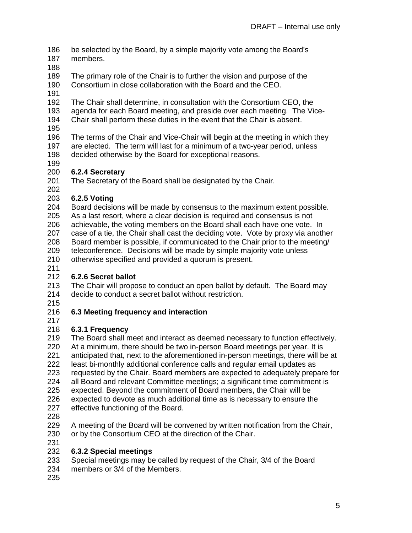- 186 be selected by the Board, by a simple majority vote among the Board's
- 187 members.
- 188
- 189 The primary role of the Chair is to further the vision and purpose of the
- 190 Consortium in close collaboration with the Board and the CEO.
- 191
- 192 The Chair shall determine, in consultation with the Consortium CEO, the
- 193 agenda for each Board meeting, and preside over each meeting. The Vice-
- 194 Chair shall perform these duties in the event that the Chair is absent.
- 195
- 196 The terms of the Chair and Vice-Chair will begin at the meeting in which they
- 197 are elected. The term will last for a minimum of a two-year period, unless
- 198 decided otherwise by the Board for exceptional reasons.
- 199

## 200 **6.2.4 Secretary**

201 The Secretary of the Board shall be designated by the Chair.

202

203 **6.2.5 Voting** 

- 204 Board decisions will be made by consensus to the maximum extent possible.
- 205 As a last resort, where a clear decision is required and consensus is not
- 206 achievable, the voting members on the Board shall each have one vote. In
- 207 case of a tie, the Chair shall cast the deciding vote. Vote by proxy via another
- 208 Board member is possible, if communicated to the Chair prior to the meeting/
- 209 teleconference. Decisions will be made by simple majority vote unless

210 otherwise specified and provided a quorum is present.

211

# 212 **6.2.6 Secret ballot**

213 The Chair will propose to conduct an open ballot by default. The Board may 214 decide to conduct a secret ballot without restriction.

215

# 216 **6.3 Meeting frequency and interaction**

217

# 218 **6.3.1 Frequency**

219 The Board shall meet and interact as deemed necessary to function effectively. 220 At a minimum, there should be two in-person Board meetings per year. It is<br>221 anticipated that, next to the aforementioned in-person meetings, there will be anticipated that, next to the aforementioned in-person meetings, there will be at 222 least bi-monthly additional conference calls and regular email updates as 223 requested by the Chair. Board members are expected to adequately prepare for 224 all Board and relevant Committee meetings; a significant time commitment is 225 expected. Beyond the commitment of Board members, the Chair will be

- 226 expected to devote as much additional time as is necessary to ensure the
- 227 effective functioning of the Board.
- 228
- 229 A meeting of the Board will be convened by written notification from the Chair,
- 230 or by the Consortium CEO at the direction of the Chair.
- 231

# 232 **6.3.2 Special meetings**

- 233 Special meetings may be called by request of the Chair, 3/4 of the Board
- 234 members or 3/4 of the Members.
- 235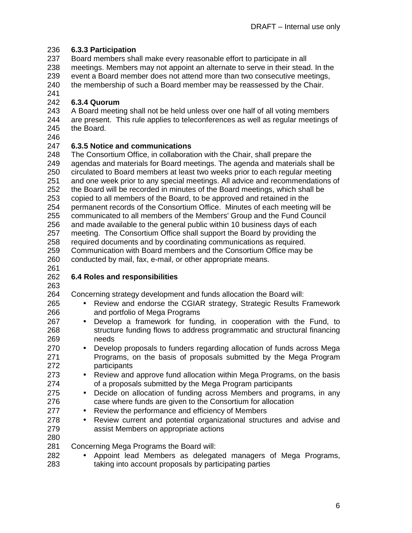### 236 **6.3.3 Participation**

237 Board members shall make every reasonable effort to participate in all

238 meetings. Members may not appoint an alternate to serve in their stead. In the

239 event a Board member does not attend more than two consecutive meetings,

240 the membership of such a Board member may be reassessed by the Chair.

241

## 242 **6.3.4 Quorum**

243 A Board meeting shall not be held unless over one half of all voting members 244 are present. This rule applies to teleconferences as well as regular meetings of 245 the Board.

246

### 247 **6.3.5 Notice and communications**

248 The Consortium Office, in collaboration with the Chair, shall prepare the 249 agendas and materials for Board meetings. The agenda and materials shall be 250 circulated to Board members at least two weeks prior to each regular meeting 251 and one week prior to any special meetings. All advice and recommendations of 252 the Board will be recorded in minutes of the Board meetings, which shall be 253 copied to all members of the Board, to be approved and retained in the 254 permanent records of the Consortium Office. Minutes of each meeting will be 255 communicated to all members of the Members' Group and the Fund Council 256 and made available to the general public within 10 business days of each 257 meeting. The Consortium Office shall support the Board by providing the 258 required documents and by coordinating communications as required. 259 Communication with Board members and the Consortium Office may be

260 conducted by mail, fax, e-mail, or other appropriate means.

261

263

## 262 **6.4 Roles and responsibilities**

264 Concerning strategy development and funds allocation the Board will:

- 265 Review and endorse the CGIAR strategy, Strategic Results Framework 266 and portfolio of Mega Programs
- 267 Develop a framework for funding, in cooperation with the Fund, to 268 structure funding flows to address programmatic and structural financing 269 needs
- 270 Develop proposals to funders regarding allocation of funds across Mega 271 Programs, on the basis of proposals submitted by the Mega Program 272 participants
- 273 Review and approve fund allocation within Mega Programs, on the basis 274 of a proposals submitted by the Mega Program participants
- 275 Decide on allocation of funding across Members and programs, in any 276 case where funds are given to the Consortium for allocation
- 277 Review the performance and efficiency of Members
- 278 Review current and potential organizational structures and advise and 279 assist Members on appropriate actions
- 
- 280 Concerning Mega Programs the Board will:
- 282 Appoint lead Members as delegated managers of Mega Programs, 283 taking into account proposals by participating parties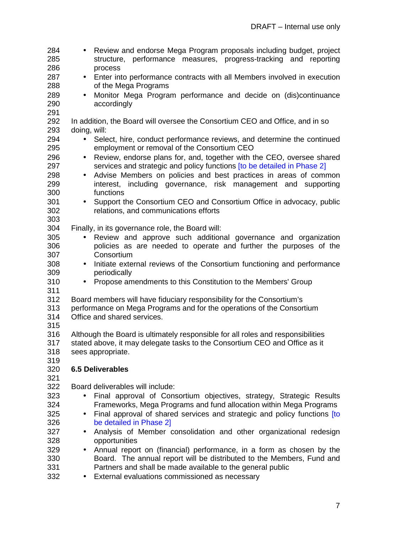284 • Review and endorse Mega Program proposals including budget, project 285 structure, performance measures, progress-tracking and reporting 286 process 287 • Enter into performance contracts with all Members involved in execution 288 of the Mega Programs 289 • Monitor Mega Program performance and decide on (dis)continuance 290 accordingly 291 292 In addition, the Board will oversee the Consortium CEO and Office, and in so 293 doing, will: 294 • Select, hire, conduct performance reviews, and determine the continued 295 employment or removal of the Consortium CEO 296 • Review, endorse plans for, and, together with the CEO, oversee shared 297 services and strategic and policy functions [to be detailed in Phase 2] 298 • Advise Members on policies and best practices in areas of common 299 interest, including governance, risk management and supporting 300 functions 301 • Support the Consortium CEO and Consortium Office in advocacy, public<br>302 Felations. and communications efforts relations, and communications efforts 303 304 Finally, in its governance role, the Board will: 305 • Review and approve such additional governance and organization 306 policies as are needed to operate and further the purposes of the 307 Consortium 308 • Initiate external reviews of the Consortium functioning and performance 309 periodically 310 • Propose amendments to this Constitution to the Members' Group 311 312 Board members will have fiduciary responsibility for the Consortium's 313 performance on Mega Programs and for the operations of the Consortium 314 Office and shared services. 315 316 Although the Board is ultimately responsible for all roles and responsibilities 317 stated above, it may delegate tasks to the Consortium CEO and Office as it 318 sees appropriate. 319 320 **6.5 Deliverables**  321 322 Board deliverables will include: 323 • Final approval of Consortium objectives, strategy, Strategic Results<br>324 Frameworks Mega Programs and fund allocation within Mega Programs 324 Frameworks, Mega Programs and fund allocation within Mega Programs 325 • Final approval of shared services and strategic and policy functions [to 326 be detailed in Phase 2] 327 • Analysis of Member consolidation and other organizational redesign opportunities 329 • Annual report on (financial) performance, in a form as chosen by the 330 Board. The annual report will be distributed to the Members, Fund and 331 Partners and shall be made available to the general public

332 • External evaluations commissioned as necessary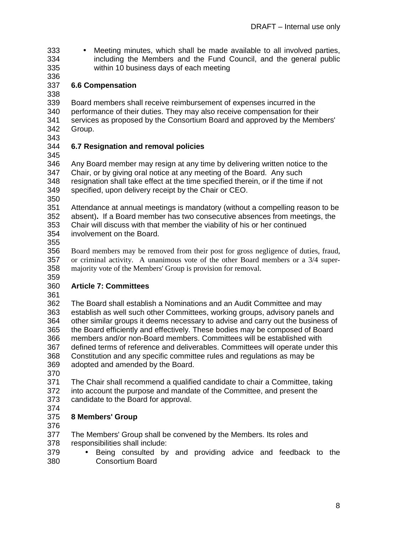- 333 Meeting minutes, which shall be made available to all involved parties, 334 including the Members and the Fund Council, and the general public 335 within 10 business days of each meeting
- 336
- 337 **6.6 Compensation**

338 339 Board members shall receive reimbursement of expenses incurred in the 340 performance of their duties. They may also receive compensation for their 341 services as proposed by the Consortium Board and approved by the Members' 342 Group.

343

# 344 **6.7 Resignation and removal policies**

345

346 Any Board member may resign at any time by delivering written notice to the 347 Chair, or by giving oral notice at any meeting of the Board. Any such 348 resignation shall take effect at the time specified therein, or if the time if not 349 specified, upon delivery receipt by the Chair or CEO.

350

351 Attendance at annual meetings is mandatory (without a compelling reason to be 352 absent)**.** If a Board member has two consecutive absences from meetings, the 353 Chair will discuss with that member the viability of his or her continued

354 involvement on the Board.

355

356 Board members may be removed from their post for gross negligence of duties, fraud, 357 or criminal activity. A unanimous vote of the other Board members or a 3/4 super-358 majority vote of the Members' Group is provision for removal.

#### 359 360 **Article 7: Committees**

361

362 The Board shall establish a Nominations and an Audit Committee and may 363 establish as well such other Committees, working groups, advisory panels and 364 other similar groups it deems necessary to advise and carry out the business of 365 the Board efficiently and effectively. These bodies may be composed of Board 366 members and/or non-Board members. Committees will be established with 367 defined terms of reference and deliverables. Committees will operate under this 368 Constitution and any specific committee rules and regulations as may be 369 adopted and amended by the Board.

370

371 The Chair shall recommend a qualified candidate to chair a Committee, taking 372 into account the purpose and mandate of the Committee, and present the

- 373 candidate to the Board for approval.
- 374

# 375 **8 Members' Group**

- 376
- 377 The Members' Group shall be convened by the Members. Its roles and
- 378 responsibilities shall include:
- 379 Being consulted by and providing advice and feedback to the 380 Consortium Board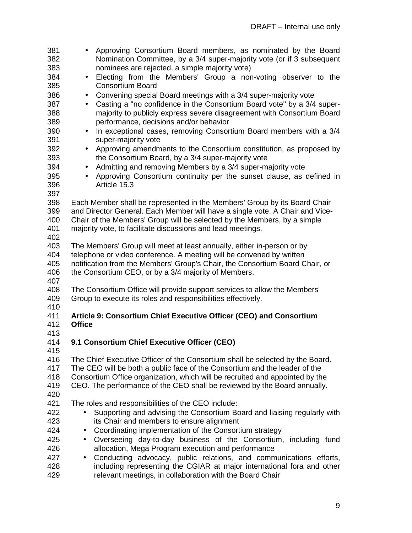| 381<br>382 | Approving Consortium Board members, as nominated by the Board<br>Nomination Committee, by a 3/4 super-majority vote (or if 3 subsequent                   |
|------------|-----------------------------------------------------------------------------------------------------------------------------------------------------------|
| 383        | nominees are rejected, a simple majority vote)                                                                                                            |
| 384        | Electing from the Members' Group a non-voting observer to the<br>$\bullet$                                                                                |
| 385        | <b>Consortium Board</b>                                                                                                                                   |
| 386        | Convening special Board meetings with a 3/4 super-majority vote<br>$\bullet$                                                                              |
| 387        | Casting a "no confidence in the Consortium Board vote" by a 3/4 super-<br>$\bullet$                                                                       |
| 388        | majority to publicly express severe disagreement with Consortium Board                                                                                    |
| 389        | performance, decisions and/or behavior                                                                                                                    |
| 390        | In exceptional cases, removing Consortium Board members with a 3/4<br>$\bullet$                                                                           |
| 391        | super-majority vote                                                                                                                                       |
| 392        | Approving amendments to the Consortium constitution, as proposed by<br>$\bullet$                                                                          |
| 393        | the Consortium Board, by a 3/4 super-majority vote                                                                                                        |
| 394        | Admitting and removing Members by a 3/4 super-majority vote<br>$\bullet$                                                                                  |
| 395        | Approving Consortium continuity per the sunset clause, as defined in<br>$\bullet$                                                                         |
| 396        | Article 15.3                                                                                                                                              |
|            |                                                                                                                                                           |
| 397        |                                                                                                                                                           |
| 398        | Each Member shall be represented in the Members' Group by its Board Chair<br>and Director General. Each Member will have a single vote. A Chair and Vice- |
| 399        |                                                                                                                                                           |
| 400        | Chair of the Members' Group will be selected by the Members, by a simple                                                                                  |
| 401        | majority vote, to facilitate discussions and lead meetings.                                                                                               |
| 402        |                                                                                                                                                           |
| 403        | The Members' Group will meet at least annually, either in-person or by                                                                                    |
| 404        | telephone or video conference. A meeting will be convened by written                                                                                      |
| 405        | notification from the Members' Group's Chair, the Consortium Board Chair, or                                                                              |
| 406        | the Consortium CEO, or by a 3/4 majority of Members.                                                                                                      |
| 407<br>408 | The Consortium Office will provide support services to allow the Members'                                                                                 |
| 409        | Group to execute its roles and responsibilities effectively.                                                                                              |
| 410        |                                                                                                                                                           |
| 411        | Article 9: Consortium Chief Executive Officer (CEO) and Consortium                                                                                        |
| 412        | <b>Office</b>                                                                                                                                             |
| 413        |                                                                                                                                                           |
| 414        | 9.1 Consortium Chief Executive Officer (CEO)                                                                                                              |
| 415        |                                                                                                                                                           |
| 416        | The Chief Executive Officer of the Consortium shall be selected by the Board.                                                                             |
| 417        | The CEO will be both a public face of the Consortium and the leader of the                                                                                |
| 418        |                                                                                                                                                           |
|            | Consortium Office organization, which will be recruited and appointed by the                                                                              |
| 419        | CEO. The performance of the CEO shall be reviewed by the Board annually.                                                                                  |
| 420<br>421 |                                                                                                                                                           |
|            | The roles and responsibilities of the CEO include:                                                                                                        |
| 422        | Supporting and advising the Consortium Board and liaising regularly with                                                                                  |
| 423        | its Chair and members to ensure alignment                                                                                                                 |
| 424        | Coordinating implementation of the Consortium strategy<br>$\bullet$                                                                                       |
| 425        | Overseeing day-to-day business of the Consortium, including fund<br>$\bullet$                                                                             |
| 426        | allocation, Mega Program execution and performance                                                                                                        |
| 427        | Conducting advocacy, public relations, and communications efforts,<br>$\bullet$                                                                           |
| 428        | including representing the CGIAR at major international fora and other                                                                                    |
| 429        | relevant meetings, in collaboration with the Board Chair                                                                                                  |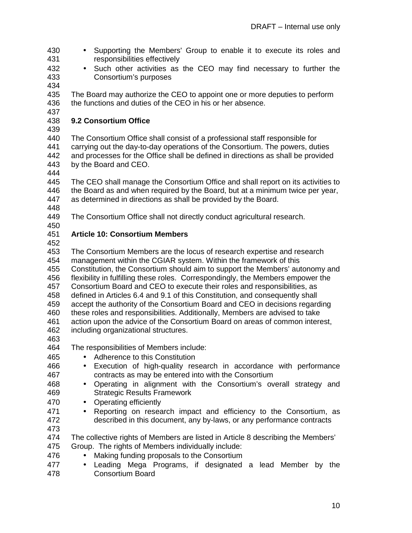- 430 Supporting the Members' Group to enable it to execute its roles and 431 responsibilities effectively
- 432 Such other activities as the CEO may find necessary to further the 433 Consortium's purposes
- 434

435 The Board may authorize the CEO to appoint one or more deputies to perform 436 the functions and duties of the CEO in his or her absence. 437

## 438 **9.2 Consortium Office**

439

440 The Consortium Office shall consist of a professional staff responsible for 441 carrying out the day-to-day operations of the Consortium. The powers, duties 442 and processes for the Office shall be defined in directions as shall be provided 443 by the Board and CEO.

444

445 The CEO shall manage the Consortium Office and shall report on its activities to 446 the Board as and when required by the Board, but at a minimum twice per year, 447 as determined in directions as shall be provided by the Board.

- 448
- 449 The Consortium Office shall not directly conduct agricultural research.
- 450

### 451 **Article 10: Consortium Members**

452

453 The Consortium Members are the locus of research expertise and research 454 management within the CGIAR system. Within the framework of this 455 Constitution, the Consortium should aim to support the Members' autonomy and 456 flexibility in fulfilling these roles. Correspondingly, the Members empower the 457 Consortium Board and CEO to execute their roles and responsibilities, as 458 defined in Articles 6.4 and 9.1 of this Constitution, and consequently shall 459 accept the authority of the Consortium Board and CEO in decisions regarding 460 these roles and responsibilities. Additionally, Members are advised to take 461 action upon the advice of the Consortium Board on areas of common interest, 462 including organizational structures. 463 464 The responsibilities of Members include:

- 465 Adherence to this Constitution
- 466 Execution of high-quality research in accordance with performance 467 contracts as may be entered into with the Consortium
- 468 Operating in alignment with the Consortium's overall strategy and 469 Strategic Results Framework
- 470 Operating efficiently
- 471 Reporting on research impact and efficiency to the Consortium, as 472 described in this document, any by-laws, or any performance contracts
- 473

474 The collective rights of Members are listed in Article 8 describing the Members'

- 475 Group. The rights of Members individually include:
- 476 Making funding proposals to the Consortium
- 477 Leading Mega Programs, if designated a lead Member by the 478 Consortium Board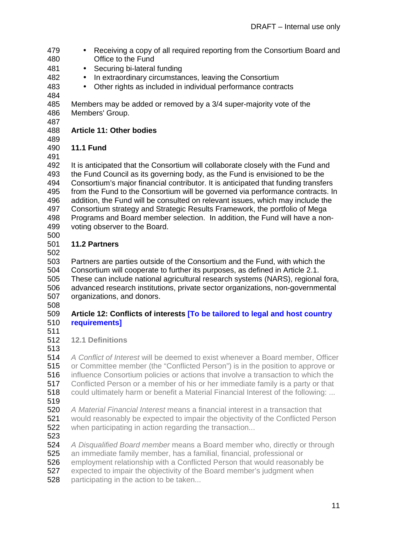- 479 Receiving a copy of all required reporting from the Consortium Board and 480 Office to the Fund
- 481 Securing bi-lateral funding
- 482 In extraordinary circumstances, leaving the Consortium
- 483 Other rights as included in individual performance contracts
- 484

485 Members may be added or removed by a 3/4 super-majority vote of the 486 Members' Group.

487

## 488 **Article 11: Other bodies**

489

490 **11.1 Fund**  491

492 It is anticipated that the Consortium will collaborate closely with the Fund and<br>493 the Fund Council as its governing body, as the Fund is envisioned to be the the Fund Council as its governing body, as the Fund is envisioned to be the 494 Consortium's major financial contributor. It is anticipated that funding transfers 495 from the Fund to the Consortium will be governed via performance contracts. In 496 addition, the Fund will be consulted on relevant issues, which may include the 497 Consortium strategy and Strategic Results Framework, the portfolio of Mega 498 Programs and Board member selection. In addition, the Fund will have a non-499 voting observer to the Board.

500

# 501 **11.2 Partners**

502

503 Partners are parties outside of the Consortium and the Fund, with which the 504 Consortium will cooperate to further its purposes, as defined in Article 2.1. Consortium will cooperate to further its purposes, as defined in Article 2.1.

505 These can include national agricultural research systems (NARS), regional fora, 506 advanced research institutions, private sector organizations, non-governmental 507 organizations, and donors.

508

### 509 **Article 12: Conflicts of interests [To be tailored to legal and host country**  510 **requirements]**

- 511
- 512 **12.1 Definitions**
- 513

514 A Conflict of Interest will be deemed to exist whenever a Board member, Officer 515 or Committee member (the "Conflicted Person") is in the position to approve or 516 influence Consortium policies or actions that involve a transaction to which the 517 Conflicted Person or a member of his or her immediate family is a party or that 518 could ultimately harm or benefit a Material Financial Interest of the following: ... 519 520 A Material Financial Interest means a financial interest in a transaction that 521 would reasonably be expected to impair the objectivity of the Conflicted Person **522** when participating in action regarding the transaction...

523

524 A Disqualified Board member means a Board member who, directly or through

525 an immediate family member, has a familial, financial, professional or

526 employment relationship with a Conflicted Person that would reasonably be

527 expected to impair the objectivity of the Board member's judgment when

**528** participating in the action to be taken...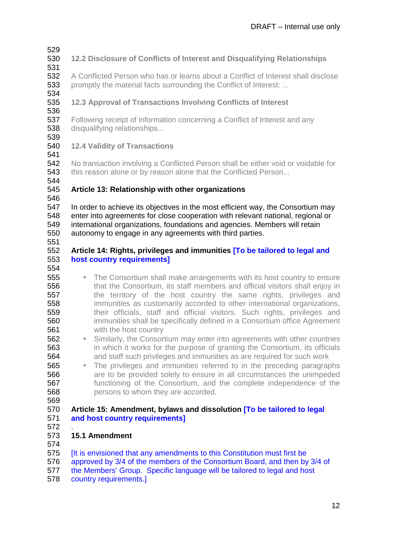529

#### 530 **12.2 Disclosure of Conflicts of Interest and Disqualifying Relationships**  531

532 A Conflicted Person who has or learns about a Conflict of Interest shall disclose 533 promptly the material facts surrounding the Conflict of Interest: ...

534

## 535 **12.3 Approval of Transactions Involving Conflicts of Interest**

536

537 Following receipt of information concerning a Conflict of Interest and any **538** disqualifying relationships...

539

### 540 **12.4 Validity of Transactions**

541

542 No transaction involving a Conflicted Person shall be either void or voidable for 543 this reason alone or by reason alone that the Conflicted Person...

544

# 545 **Article 13: Relationship with other organizations**

546

547 In order to achieve its objectives in the most efficient way, the Consortium may 548 enter into agreements for close cooperation with relevant national, regional or 549 international organizations, foundations and agencies. Members will retain 550 autonomy to engage in any agreements with third parties.

551

### 552 **Article 14: Rights, privileges and immunities [To be tailored to legal and**  553 **host country requirements]**

- 554
- **555** The Consortium shall make arrangements with its host country to ensure 556 that the Consortium, its staff members and official visitors shall enjoy in 557 the territory of the host country the same rights, privileges and 558 immunities as customarily accorded to other international organizations, 559 their officials, staff and official visitors. Such rights, privileges and 560 immunities shall be specifically defined in a Consortium office Agreement 561 with the host country
- 562 Similarly, the Consortium may enter into agreements with other countries 563 in which it works for the purpose of granting the Consortium, its officials 564 and staff such privileges and immunities as are required for such work
- 565 The privileges and immunities referred to in the preceding paragraphs 566 are to be provided solely to ensure in all circumstances the unimpeded 567 functioning of the Consortium, and the complete independence of the 568 persons to whom they are accorded.
- 569

### 570 **Article 15: Amendment, bylaws and dissolution [To be tailored to legal**  571 **and host country requirements]**

572 .

### 573 **15.1 Amendment**

574

575 [It is envisioned that any amendments to this Constitution must first be

- 576 approved by 3/4 of the members of the Consortium Board, and then by 3/4 of
- 577 the Members' Group. Specific language will be tailored to legal and host
- 578 country requirements.]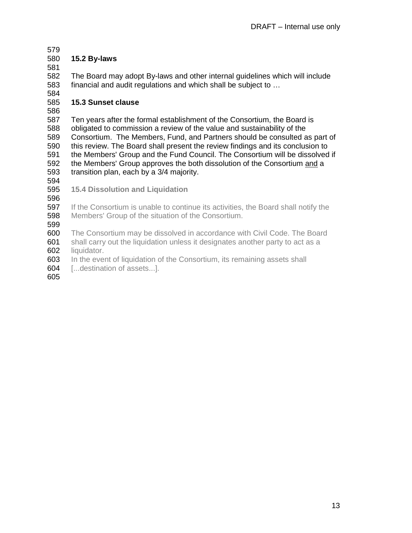579

## 580 **15.2 By-laws**

581

582 The Board may adopt By-laws and other internal guidelines which will include 583 financial and audit regulations and which shall be subject to …

584

### 585 **15.3 Sunset clause**

586

587 Ten years after the formal establishment of the Consortium, the Board is 588 obligated to commission a review of the value and sustainability of the 589 Consortium. The Members, Fund, and Partners should be consulted as part of 590 this review. The Board shall present the review findings and its conclusion to 591 the Members' Group and the Fund Council. The Consortium will be dissolved if 592 the Members' Group approves the both dissolution of the Consortium and a 593 transition plan, each by a 3/4 majority.

594

595 **15.4 Dissolution and Liquidation** 

596

597 If the Consortium is unable to continue its activities, the Board shall notify the 598 Members' Group of the situation of the Consortium.

599

600 The Consortium may be dissolved in accordance with Civil Code. The Board

601 shall carry out the liquidation unless it designates another party to act as a 602 liquidator.

603 In the event of liquidation of the Consortium, its remaining assets shall

604 [...destination of assets...].

605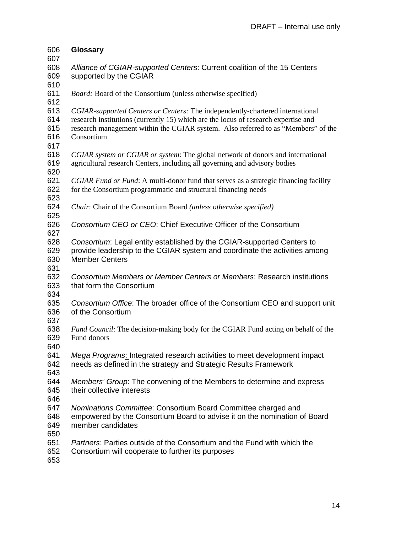| 606        | <b>Glossary</b>                                                                                                                                                     |
|------------|---------------------------------------------------------------------------------------------------------------------------------------------------------------------|
| 607        |                                                                                                                                                                     |
| 608        | Alliance of CGIAR-supported Centers: Current coalition of the 15 Centers                                                                                            |
| 609        | supported by the CGIAR                                                                                                                                              |
| 610<br>611 | <i>Board:</i> Board of the Consortium (unless otherwise specified)                                                                                                  |
| 612        |                                                                                                                                                                     |
| 613<br>614 | CGIAR-supported Centers or Centers: The independently-chartered international<br>research institutions (currently 15) which are the locus of research expertise and |
| 615<br>616 | research management within the CGIAR system. Also referred to as "Members" of the<br>Consortium                                                                     |
| 617        |                                                                                                                                                                     |
| 618<br>619 | CGIAR system or CGIAR or system: The global network of donors and international<br>agricultural research Centers, including all governing and advisory bodies       |
| 620        |                                                                                                                                                                     |
| 621<br>622 | CGIAR Fund or Fund: A multi-donor fund that serves as a strategic financing facility<br>for the Consortium programmatic and structural financing needs              |
| 623        |                                                                                                                                                                     |
| 624<br>625 | Chair: Chair of the Consortium Board (unless otherwise specified)                                                                                                   |
| 626<br>627 | Consortium CEO or CEO: Chief Executive Officer of the Consortium                                                                                                    |
| 628        | Consortium: Legal entity established by the CGIAR-supported Centers to                                                                                              |
| 629        | provide leadership to the CGIAR system and coordinate the activities among                                                                                          |
| 630        | <b>Member Centers</b>                                                                                                                                               |
| 631        |                                                                                                                                                                     |
| 632        | Consortium Members or Member Centers or Members: Research institutions                                                                                              |
| 633        | that form the Consortium                                                                                                                                            |
| 634        |                                                                                                                                                                     |
| 635        | Consortium Office: The broader office of the Consortium CEO and support unit                                                                                        |
| 636        | of the Consortium                                                                                                                                                   |
| 637        |                                                                                                                                                                     |
| 638        | Fund Council: The decision-making body for the CGIAR Fund acting on behalf of the                                                                                   |
| 639        | Fund donors                                                                                                                                                         |
| 640        |                                                                                                                                                                     |
| 641        | Mega Programs: Integrated research activities to meet development impact                                                                                            |
| 642        | needs as defined in the strategy and Strategic Results Framework                                                                                                    |
| 643        |                                                                                                                                                                     |
| 644        | Members' Group: The convening of the Members to determine and express                                                                                               |
| 645        | their collective interests                                                                                                                                          |
| 646        |                                                                                                                                                                     |
| 647        | Nominations Committee: Consortium Board Committee charged and                                                                                                       |
| 648        | empowered by the Consortium Board to advise it on the nomination of Board                                                                                           |
| 649        | member candidates                                                                                                                                                   |
| 650        |                                                                                                                                                                     |
| 651        | <i>Partners:</i> Parties outside of the Consortium and the Fund with which the                                                                                      |
| 652<br>653 | Consortium will cooperate to further its purposes                                                                                                                   |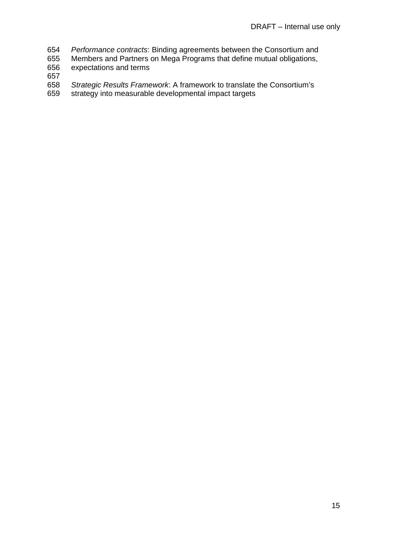- 654 Performance contracts: Binding agreements between the Consortium and<br>655 Members and Partners on Mega Programs that define mutual obligations,
- 655 Members and Partners on Mega Programs that define mutual obligations,<br>656 expectations and terms
- expectations and terms
- 657
- 658 Strategic Results Framework: A framework to translate the Consortium's 659 strategy into measurable developmental impact targets
- strategy into measurable developmental impact targets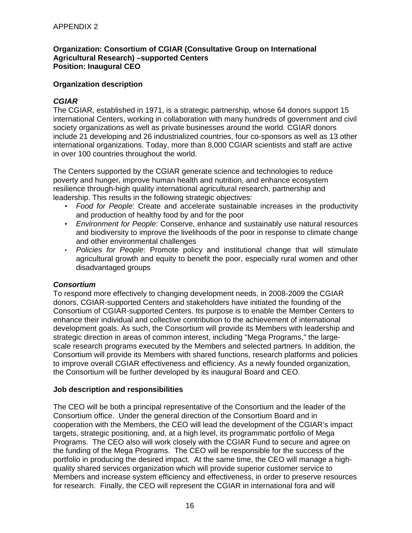#### **Organization: Consortium of CGIAR (Consultative Group on International Agricultural Research) –supported Centers Position: Inaugural CEO**

#### **Organization description**

#### **CGIAR**

The CGIAR, established in 1971, is a strategic partnership, whose 64 donors support 15 international Centers, working in collaboration with many hundreds of government and civil society organizations as well as private businesses around the world. CGIAR donors include 21 developing and 26 industrialized countries, four co-sponsors as well as 13 other international organizations. Today, more than 8,000 CGIAR scientists and staff are active in over 100 countries throughout the world.

The Centers supported by the CGIAR generate science and technologies to reduce poverty and hunger, improve human health and nutrition, and enhance ecosystem resilience through-high quality international agricultural research, partnership and leadership. This results in the following strategic objectives:

- Food for People: Create and accelerate sustainable increases in the productivity and production of healthy food by and for the poor
- Environment for People: Conserve, enhance and sustainably use natural resources and biodiversity to improve the livelihoods of the poor in response to climate change and other environmental challenges
- Policies for People: Promote policy and institutional change that will stimulate agricultural growth and equity to benefit the poor, especially rural women and other disadvantaged groups

#### **Consortium**

To respond more effectively to changing development needs, in 2008-2009 the CGIAR donors, CGIAR-supported Centers and stakeholders have initiated the founding of the Consortium of CGIAR-supported Centers. Its purpose is to enable the Member Centers to enhance their individual and collective contribution to the achievement of international development goals. As such, the Consortium will provide its Members with leadership and strategic direction in areas of common interest, including "Mega Programs," the largescale research programs executed by the Members and selected partners. In addition, the Consortium will provide its Members with shared functions, research platforms and policies to improve overall CGIAR effectiveness and efficiency. As a newly founded organization, the Consortium will be further developed by its inaugural Board and CEO.

#### **Job description and responsibilities**

The CEO will be both a principal representative of the Consortium and the leader of the Consortium office. Under the general direction of the Consortium Board and in cooperation with the Members, the CEO will lead the development of the CGIAR's impact targets, strategic positioning, and, at a high level, its programmatic portfolio of Mega Programs. The CEO also will work closely with the CGIAR Fund to secure and agree on the funding of the Mega Programs. The CEO will be responsible for the success of the portfolio in producing the desired impact. At the same time, the CEO will manage a highquality shared services organization which will provide superior customer service to Members and increase system efficiency and effectiveness, in order to preserve resources for research. Finally, the CEO will represent the CGIAR in international fora and will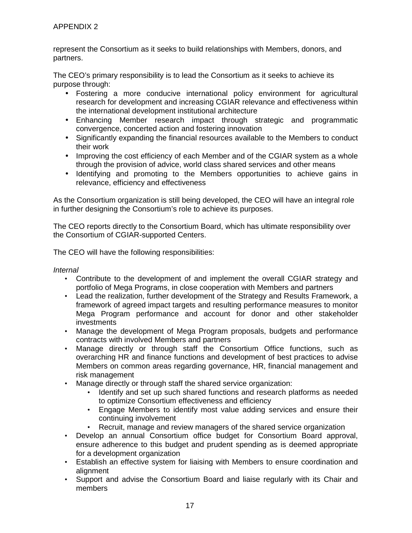represent the Consortium as it seeks to build relationships with Members, donors, and partners.

The CEO's primary responsibility is to lead the Consortium as it seeks to achieve its purpose through:

- Fostering a more conducive international policy environment for agricultural research for development and increasing CGIAR relevance and effectiveness within the international development institutional architecture
- Enhancing Member research impact through strategic and programmatic convergence, concerted action and fostering innovation
- Significantly expanding the financial resources available to the Members to conduct their work
- Improving the cost efficiency of each Member and of the CGIAR system as a whole through the provision of advice, world class shared services and other means
- Identifying and promoting to the Members opportunities to achieve gains in relevance, efficiency and effectiveness

As the Consortium organization is still being developed, the CEO will have an integral role in further designing the Consortium's role to achieve its purposes.

The CEO reports directly to the Consortium Board, which has ultimate responsibility over the Consortium of CGIAR-supported Centers.

The CEO will have the following responsibilities:

Internal

- Contribute to the development of and implement the overall CGIAR strategy and portfolio of Mega Programs, in close cooperation with Members and partners
- Lead the realization, further development of the Strategy and Results Framework, a framework of agreed impact targets and resulting performance measures to monitor Mega Program performance and account for donor and other stakeholder investments
- Manage the development of Mega Program proposals, budgets and performance contracts with involved Members and partners
- Manage directly or through staff the Consortium Office functions, such as overarching HR and finance functions and development of best practices to advise Members on common areas regarding governance, HR, financial management and risk management
- Manage directly or through staff the shared service organization:
	- Identify and set up such shared functions and research platforms as needed to optimize Consortium effectiveness and efficiency
	- Engage Members to identify most value adding services and ensure their continuing involvement
	- Recruit, manage and review managers of the shared service organization
- Develop an annual Consortium office budget for Consortium Board approval, ensure adherence to this budget and prudent spending as is deemed appropriate for a development organization
- Establish an effective system for liaising with Members to ensure coordination and alignment
- Support and advise the Consortium Board and liaise regularly with its Chair and members